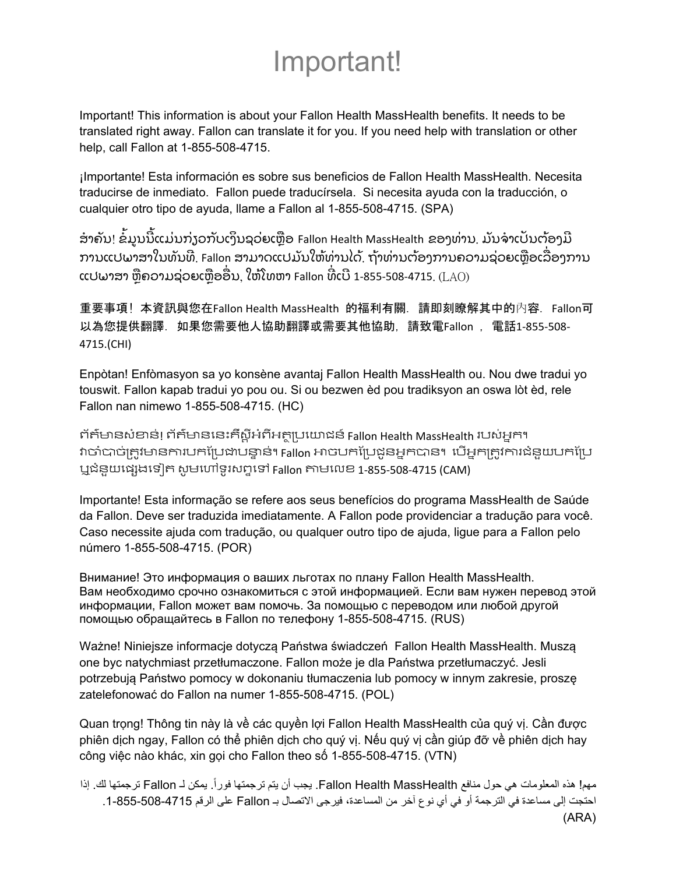## Important!

Important! This information is about your Fallon Health MassHealth benefits. It needs to be translated right away. Fallon can translate it for you. If you need help with translation or other help, call Fallon at 1-855-508-4715.

¡Importante! Esta información es sobre sus beneficios de Fallon Health MassHealth. Necesita traducirse de inmediato. Fallon puede traducírsela. Si necesita ayuda con la traducción, o cualquier otro tipo de ayuda, llame a Fallon al 1-855-508-4715. (SPA)

ໍ ສາຄັນ! ຂໍ້ມູນນີ້ແມ່ນກ່ຽວກັບເງິນຊວ່ຍເຫຼືອ Fallon Health MassHealth ຂອງທ່ານ. ມັນຈ່າເປັນຕ້ອງມີ ການແປພາສາໃນທັນທີ. Fallon ສາມາດແປມັນໃຫ້ທ່ານໄດ້. ຖ້າທ່ານຕ້ອງການຄວາມຊ່ວຍເຫຼືອເລື່ອງການ  $\,$ ແປພາສາ ຫຼືຄວາມຊ່ວຍເຫຼືອອື່ນ, ໃຫ້ໂທຫາ Fallon ທີ່ເບີ 1-855-508-4715.  $\,$ ( $\rm{LAO}$ ) ່

重要事項! 本資訊與您在Fallon Health MassHealth 的福利有關. 請即刻瞭解其中的內容. Fallon可 以為您提供翻譯. 如果您需要他人協助翻譯或需要其他協助, 請致電Fallon , 電話1‐855‐508‐ 4715.(CHI)

Enpòtan! Enfòmasyon sa yo konsène avantaj Fallon Health MassHealth ou. Nou dwe tradui yo touswit. Fallon kapab tradui yo pou ou. Si ou bezwen èd pou tradiksyon an oswa lòt èd, rele Fallon nan nimewo 1-855-508-4715. (HC)

ព័ត៌មានសំខាន់! ព័ត៌មាននេះគឺស្តីអំពីអត្ថប្រយោជន៍ Fallon Health MassHealth របស់អ្នក។ វាចាំបាច់ត្រូវមានការបកប្រែដាបន្ទាន់។ Fallon អាចបកប្រែដូនអ្នកបាន។ បើអ្នកត្រូវការជំនួយបកប្រែ ឬជំនួយេផសងេទៀត សូមេហៅទូរសពទេទៅ Fallon តាមេលខ 1‐855‐508‐4715 (CAM)

Importante! Esta informação se refere aos seus benefícios do programa MassHealth de Saúde da Fallon. Deve ser traduzida imediatamente. A Fallon pode providenciar a tradução para você. Caso necessite ajuda com tradução, ou qualquer outro tipo de ajuda, ligue para a Fallon pelo número 1-855-508-4715. (POR)

Внимание! Это информация о ваших льготах по плану Fallon Health MassHealth. Вам необходимо срочно ознакомиться с этой информацией. Если вам нужен перевод этой информации, Fallon может вам помочь. За помощью с переводом или любой другой помощью обращайтесь в Fallon по телефону 1-855-508-4715. (RUS)

Ważne! Niniejsze informacje dotyczą Państwa świadczeń Fallon Health MassHealth. Muszą one byc natychmiast przetłumaczone. Fallon może je dla Państwa przetłumaczyć. Jesli potrzebują Państwo pomocy w dokonaniu tłumaczenia lub pomocy w innym zakresie, proszę zatelefonować do Fallon na numer 1-855-508-4715. (POL)

Quan trọng! Thông tin này là về các quyền lợi Fallon Health MassHealth của quý vị. Cần được phiên dịch ngay, Fallon có thể phiên dịch cho quý vị. Nếu quý vị cần giúp đỡ về phiên dịch hay công việc nào khác, xin gọi cho Fallon theo số 1-855-508-4715. (VTN)

مهم! هذه المعلومات هي حول منافع Fallon Health MassHealth. يجب أن يتم ترجمتها فوراً. يمكن لـ Fallon ترجمتها لك. إذا احتجت إلى مساعدة في الترجمة أو في أي نوع آخر من المساعدة، فيرجى االتصال بـ Fallon على الرقم .1-855-508-4715 (ARA)